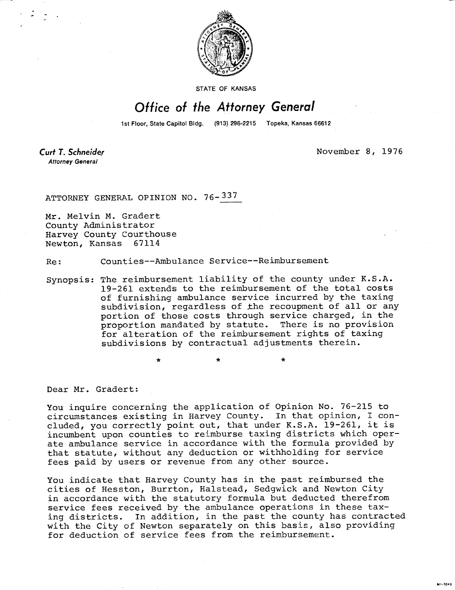

STATE OF KANSAS

## Office of the Attorney General

1st Floor, State Capitol Bldg. (913) 296-2215 Topeka, Kansas 66612

Curt T. Schneider **Attorney General** 

November 8, 1976

ATTORNEY GENERAL OPINION NO. 76- 337

Mr. Melvin M. Gradert County Administrator Harvey County Courthouse Newton, Kansas 67114

Re: Counties--Ambulance Service--Reimbursement

\*

Synopsis: The reimbursement liability of the county under K.S.A. 19-261 extends to the reimbursement of the total costs of furnishing ambulance service incurred by the taxing subdivision, regardless of the recoupment of all or any portion of those costs through service charged, in the proportion mandated by statute. There is no provision for alteration of the reimbursement rights of taxing subdivisions by contractual adjustments therein.

Dear Mr. Gradert:

You inquire concerning the application of Opinion No. 76-215 to circumstances existing in Harvey County. In that opinion, I concluded, you correctly point out, that under K.S.A. 19-261, it is incumbent upon counties to reimburse taxing districts which operate ambulance service in accordance with the formula provided by that statute, without any deduction or withholding for service fees paid by users or revenue from any other source.

You indicate that Harvey County has in the past reimbursed the cities of Hesston, Burrton, Halstead, Sedgwick and Newton City in accordance with the statutory formula but deducted therefrom service fees received by the ambulance operations in these taxing districts. In addition, in the past the county has contracted with the City of Newton separately on this basis, also providing for deduction of service fees from the reimbursement.